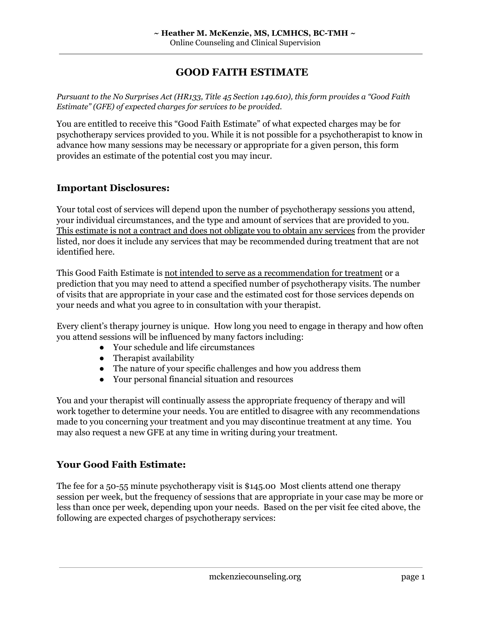# **GOOD FAITH ESTIMATE**

*Pursuant to the No Surprises Act (HR133, Title 45 Section 149.610), this form provides a "Good Faith Estimate" (GFE) of expected charges for services to be provided.*

You are entitled to receive this "Good Faith Estimate" of what expected charges may be for psychotherapy services provided to you. While it is not possible for a psychotherapist to know in advance how many sessions may be necessary or appropriate for a given person, this form provides an estimate of the potential cost you may incur.

#### **Important Disclosures:**

Your total cost of services will depend upon the number of psychotherapy sessions you attend, your individual circumstances, and the type and amount of services that are provided to you. This estimate is not a contract and does not obligate you to obtain any services from the provider listed, nor does it include any services that may be recommended during treatment that are not identified here.

This Good Faith Estimate is not intended to serve as a recommendation for treatment or a prediction that you may need to attend a specified number of psychotherapy visits. The number of visits that are appropriate in your case and the estimated cost for those services depends on your needs and what you agree to in consultation with your therapist.

Every client's therapy journey is unique. How long you need to engage in therapy and how often you attend sessions will be influenced by many factors including:

- Your schedule and life circumstances
- Therapist availability
- The nature of your specific challenges and how you address them
- Your personal financial situation and resources

You and your therapist will continually assess the appropriate frequency of therapy and will work together to determine your needs. You are entitled to disagree with any recommendations made to you concerning your treatment and you may discontinue treatment at any time. You may also request a new GFE at any time in writing during your treatment.

## **Your Good Faith Estimate:**

The fee for a 50-55 minute psychotherapy visit is \$145.00 Most clients attend one therapy session per week, but the frequency of sessions that are appropriate in your case may be more or less than once per week, depending upon your needs. Based on the per visit fee cited above, the following are expected charges of psychotherapy services: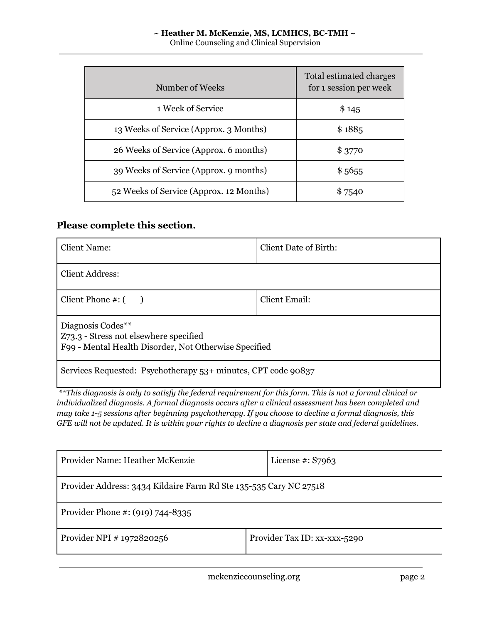| Number of Weeks                         | Total estimated charges<br>for 1 session per week |
|-----------------------------------------|---------------------------------------------------|
| 1 Week of Service                       | \$145                                             |
| 13 Weeks of Service (Approx. 3 Months)  | \$188,5                                           |
| 26 Weeks of Service (Approx. 6 months)  | \$3770                                            |
| 39 Weeks of Service (Approx. 9 months)  | \$5655                                            |
| 52 Weeks of Service (Approx. 12 Months) | \$7540                                            |

### **Please complete this section.**

| <b>Client Name:</b>                                                                                                  | <b>Client Date of Birth:</b> |  |
|----------------------------------------------------------------------------------------------------------------------|------------------------------|--|
| <b>Client Address:</b>                                                                                               |                              |  |
| Client Phone $\#$ : $( )$                                                                                            | <b>Client Email:</b>         |  |
| Diagnosis Codes**<br>Z73.3 - Stress not elsewhere specified<br>F99 - Mental Health Disorder, Not Otherwise Specified |                              |  |
| Services Requested: Psychotherapy 53+ minutes, CPT code 90837                                                        |                              |  |

\*\*This diagnosis is only to satisfy the federal requirement for this form. This is not a formal clinical or *individualized diagnosis. A formal diagnosis occurs after a clinical assessment has been completed and may take 1-5 sessions after beginning psychotherapy. If you choose to decline a formal diagnosis, this* GFE will not be updated. It is within your rights to decline a diagnosis per state and federal guidelines.

| Provider Name: Heather McKenzie                                   | License $\#$ : S7963         |  |
|-------------------------------------------------------------------|------------------------------|--|
| Provider Address: 3434 Kildaire Farm Rd Ste 135-535 Cary NC 27518 |                              |  |
| Provider Phone #: $(919)$ 744-8335                                |                              |  |
| Provider NPI $# 1972820256$                                       | Provider Tax ID: xx-xxx-5290 |  |